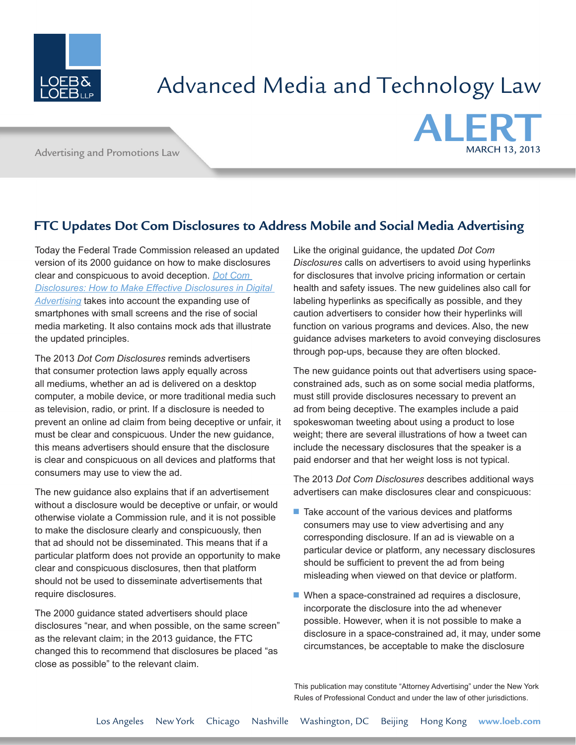

## Advanced Media and Technology Law

Advertising and Promotions Law



## **FTC Updates Dot Com Disclosures to Address Mobile and Social Media Advertising**

Today the Federal Trade Commission released an updated version of its 2000 guidance on how to make disclosures clear and conspicuous to avoid deception. *[Dot Com](http://click.loebcommunications.com/?ju=fe2017757267077d7d1d79&ls=fdf2117776650c7870157974&m=fef31177736101&l=fe9b16707363057975&s=fe0115727366047b71167270&jb=ffcf14&t=)  [Disclosures: How to Make Effective Disclosures in Digital](http://click.loebcommunications.com/?ju=fe2017757267077d7d1d79&ls=fdf2117776650c7870157974&m=fef31177736101&l=fe9b16707363057975&s=fe0115727366047b71167270&jb=ffcf14&t=)  [Advertising](http://click.loebcommunications.com/?ju=fe2017757267077d7d1d79&ls=fdf2117776650c7870157974&m=fef31177736101&l=fe9b16707363057975&s=fe0115727366047b71167270&jb=ffcf14&t=)* takes into account the expanding use of smartphones with small screens and the rise of social media marketing. It also contains mock ads that illustrate the updated principles.

The 2013 *Dot Com Disclosures* reminds advertisers that consumer protection laws apply equally across all mediums, whether an ad is delivered on a desktop computer, a mobile device, or more traditional media such as television, radio, or print. If a disclosure is needed to prevent an online ad claim from being deceptive or unfair, it must be clear and conspicuous. Under the new guidance, this means advertisers should ensure that the disclosure is clear and conspicuous on all devices and platforms that consumers may use to view the ad.

The new guidance also explains that if an advertisement without a disclosure would be deceptive or unfair, or would otherwise violate a Commission rule, and it is not possible to make the disclosure clearly and conspicuously, then that ad should not be disseminated. This means that if a particular platform does not provide an opportunity to make clear and conspicuous disclosures, then that platform should not be used to disseminate advertisements that require disclosures.

The 2000 guidance stated advertisers should place disclosures "near, and when possible, on the same screen" as the relevant claim; in the 2013 guidance, the FTC changed this to recommend that disclosures be placed "as close as possible" to the relevant claim.

Like the original guidance, the updated *Dot Com Disclosures* calls on advertisers to avoid using hyperlinks for disclosures that involve pricing information or certain health and safety issues. The new guidelines also call for labeling hyperlinks as specifically as possible, and they caution advertisers to consider how their hyperlinks will function on various programs and devices. Also, the new guidance advises marketers to avoid conveying disclosures through pop-ups, because they are often blocked.

The new guidance points out that advertisers using spaceconstrained ads, such as on some social media platforms, must still provide disclosures necessary to prevent an ad from being deceptive. The examples include a paid spokeswoman tweeting about using a product to lose weight; there are several illustrations of how a tweet can include the necessary disclosures that the speaker is a paid endorser and that her weight loss is not typical.

The 2013 *Dot Com Disclosures* describes additional ways advertisers can make disclosures clear and conspicuous:

- $\blacksquare$  Take account of the various devices and platforms consumers may use to view advertising and any corresponding disclosure. If an ad is viewable on a particular device or platform, any necessary disclosures should be sufficient to prevent the ad from being misleading when viewed on that device or platform.
- $\blacksquare$  When a space-constrained ad requires a disclosure, incorporate the disclosure into the ad whenever possible. However, when it is not possible to make a disclosure in a space-constrained ad, it may, under some circumstances, be acceptable to make the disclosure

This publication may constitute "Attorney Advertising" under the New York Rules of Professional Conduct and under the law of other jurisdictions.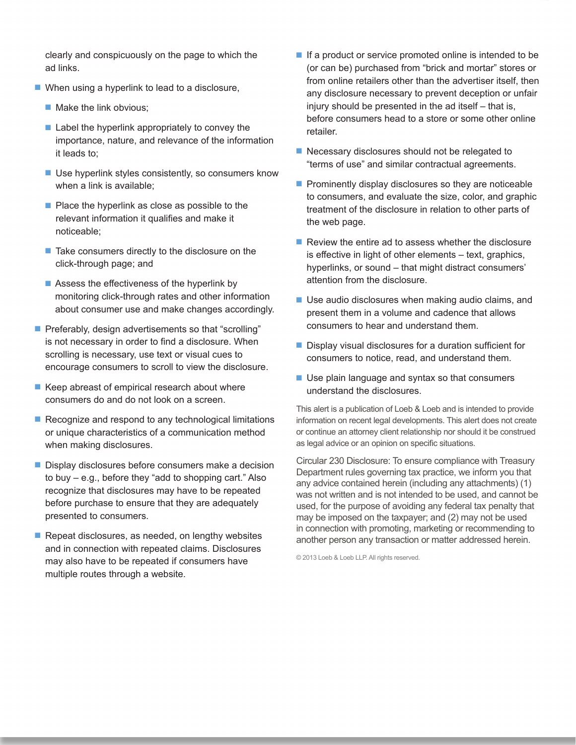clearly and conspicuously on the page to which the ad links.

- $\blacksquare$  When using a hyperlink to lead to a disclosure,
	- $\blacksquare$  Make the link obvious;
	- $\blacksquare$  Label the hyperlink appropriately to convey the importance, nature, and relevance of the information it leads to;
	- $\blacksquare$  Use hyperlink styles consistently, so consumers know when a link is available;
	- $\blacksquare$  Place the hyperlink as close as possible to the relevant information it qualifies and make it noticeable;
	- $\blacksquare$  Take consumers directly to the disclosure on the click-through page; and
	- $\blacksquare$  Assess the effectiveness of the hyperlink by monitoring click-through rates and other information about consumer use and make changes accordingly.
- Preferably, design advertisements so that "scrolling" is not necessary in order to find a disclosure. When scrolling is necessary, use text or visual cues to encourage consumers to scroll to view the disclosure.
- $\blacksquare$  Keep abreast of empirical research about where consumers do and do not look on a screen.
- $\blacksquare$  Recognize and respond to any technological limitations or unique characteristics of a communication method when making disclosures.
- Display disclosures before consumers make a decision to buy – e.g., before they "add to shopping cart." Also recognize that disclosures may have to be repeated before purchase to ensure that they are adequately presented to consumers.
- $\blacksquare$  Repeat disclosures, as needed, on lengthy websites and in connection with repeated claims. Disclosures may also have to be repeated if consumers have multiple routes through a website.
- $\blacksquare$  If a product or service promoted online is intended to be (or can be) purchased from "brick and mortar" stores or from online retailers other than the advertiser itself, then any disclosure necessary to prevent deception or unfair injury should be presented in the ad itself – that is, before consumers head to a store or some other online retailer.
- $\blacksquare$  Necessary disclosures should not be relegated to "terms of use" and similar contractual agreements.
- $\blacksquare$  Prominently display disclosures so they are noticeable to consumers, and evaluate the size, color, and graphic treatment of the disclosure in relation to other parts of the web page.
- $\blacksquare$  Review the entire ad to assess whether the disclosure is effective in light of other elements – text, graphics, hyperlinks, or sound – that might distract consumers' attention from the disclosure.
- $\blacksquare$  Use audio disclosures when making audio claims, and present them in a volume and cadence that allows consumers to hear and understand them.
- $\blacksquare$  Display visual disclosures for a duration sufficient for consumers to notice, read, and understand them.
- $\blacksquare$  Use plain language and syntax so that consumers understand the disclosures.

This alert is a publication of Loeb & Loeb and is intended to provide information on recent legal developments. This alert does not create or continue an attorney client relationship nor should it be construed as legal advice or an opinion on specific situations.

Circular 230 Disclosure: To ensure compliance with Treasury Department rules governing tax practice, we inform you that any advice contained herein (including any attachments) (1) was not written and is not intended to be used, and cannot be used, for the purpose of avoiding any federal tax penalty that may be imposed on the taxpayer; and (2) may not be used in connection with promoting, marketing or recommending to another person any transaction or matter addressed herein.

© 2013 Loeb & Loeb LLP. All rights reserved.